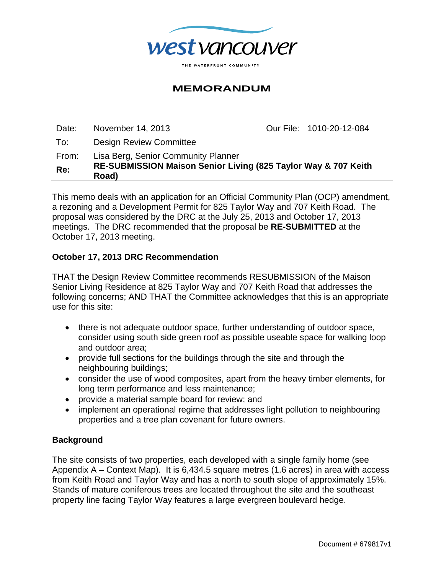

## **MEMORANDUM**

| Re:   | RE-SUBMISSION Maison Senior Living (825 Taylor Way & 707 Keith<br>Road) |                          |
|-------|-------------------------------------------------------------------------|--------------------------|
| From: | Lisa Berg, Senior Community Planner                                     |                          |
| To:   | <b>Design Review Committee</b>                                          |                          |
| Date: | November 14, 2013                                                       | Our File: 1010-20-12-084 |

This memo deals with an application for an Official Community Plan (OCP) amendment, a rezoning and a Development Permit for 825 Taylor Way and 707 Keith Road. The proposal was considered by the DRC at the July 25, 2013 and October 17, 2013 meetings. The DRC recommended that the proposal be **RE-SUBMITTED** at the October 17, 2013 meeting.

#### **October 17, 2013 DRC Recommendation**

THAT the Design Review Committee recommends RESUBMISSION of the Maison Senior Living Residence at 825 Taylor Way and 707 Keith Road that addresses the following concerns; AND THAT the Committee acknowledges that this is an appropriate use for this site:

- there is not adequate outdoor space, further understanding of outdoor space, consider using south side green roof as possible useable space for walking loop and outdoor area;
- provide full sections for the buildings through the site and through the neighbouring buildings;
- consider the use of wood composites, apart from the heavy timber elements, for long term performance and less maintenance;
- provide a material sample board for review; and
- implement an operational regime that addresses light pollution to neighbouring properties and a tree plan covenant for future owners.

## **Background**

The site consists of two properties, each developed with a single family home (see Appendix A – Context Map). It is 6,434.5 square metres (1.6 acres) in area with access from Keith Road and Taylor Way and has a north to south slope of approximately 15%. Stands of mature coniferous trees are located throughout the site and the southeast property line facing Taylor Way features a large evergreen boulevard hedge.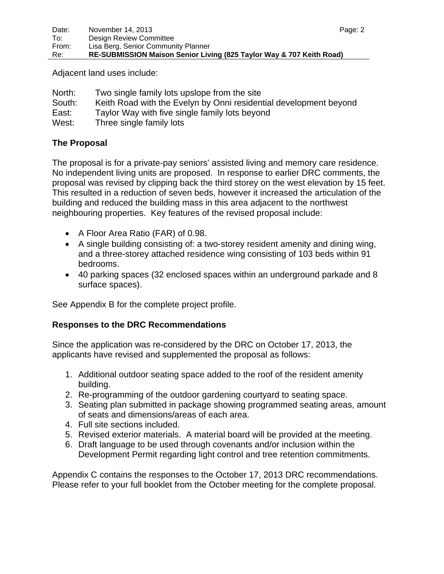Adjacent land uses include:

| North: | Two single family lots upslope from the site                      |
|--------|-------------------------------------------------------------------|
| South: | Keith Road with the Evelyn by Onni residential development beyond |
| East:  | Taylor Way with five single family lots beyond                    |
| West:  | Three single family lots                                          |

## **The Proposal**

The proposal is for a private-pay seniors' assisted living and memory care residence. No independent living units are proposed. In response to earlier DRC comments, the proposal was revised by clipping back the third storey on the west elevation by 15 feet. This resulted in a reduction of seven beds, however it increased the articulation of the building and reduced the building mass in this area adjacent to the northwest neighbouring properties. Key features of the revised proposal include:

- A Floor Area Ratio (FAR) of 0.98.
- A single building consisting of: a two-storey resident amenity and dining wing, and a three-storey attached residence wing consisting of 103 beds within 91 bedrooms.
- 40 parking spaces (32 enclosed spaces within an underground parkade and 8 surface spaces).

See Appendix B for the complete project profile.

## **Responses to the DRC Recommendations**

Since the application was re-considered by the DRC on October 17, 2013, the applicants have revised and supplemented the proposal as follows:

- 1. Additional outdoor seating space added to the roof of the resident amenity building.
- 2. Re-programming of the outdoor gardening courtyard to seating space.
- 3. Seating plan submitted in package showing programmed seating areas, amount of seats and dimensions/areas of each area.
- 4. Full site sections included.
- 5. Revised exterior materials. A material board will be provided at the meeting.
- 6. Draft language to be used through covenants and/or inclusion within the Development Permit regarding light control and tree retention commitments.

Appendix C contains the responses to the October 17, 2013 DRC recommendations. Please refer to your full booklet from the October meeting for the complete proposal.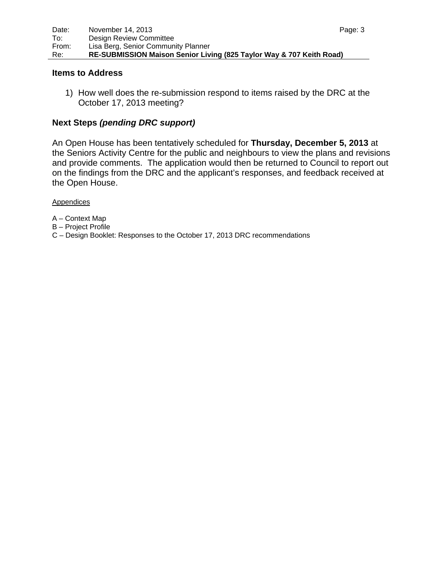#### **Items to Address**

1) How well does the re-submission respond to items raised by the DRC at the October 17, 2013 meeting?

## **Next Steps** *(pending DRC support)*

An Open House has been tentatively scheduled for **Thursday, December 5, 2013** at the Seniors Activity Centre for the public and neighbours to view the plans and revisions and provide comments. The application would then be returned to Council to report out on the findings from the DRC and the applicant's responses, and feedback received at the Open House.

**Appendices** 

- A Context Map
- B Project Profile
- C Design Booklet: Responses to the October 17, 2013 DRC recommendations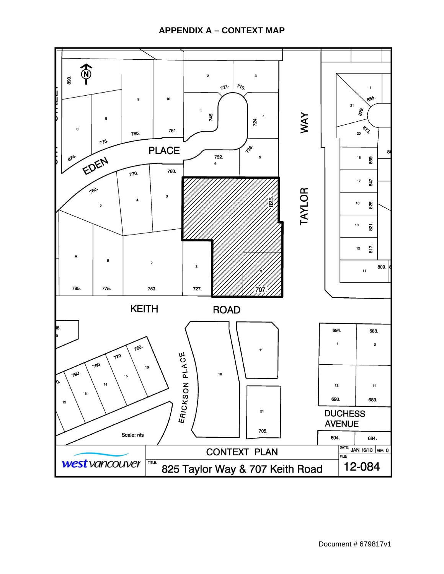## **APPENDIX A – CONTEXT MAP**